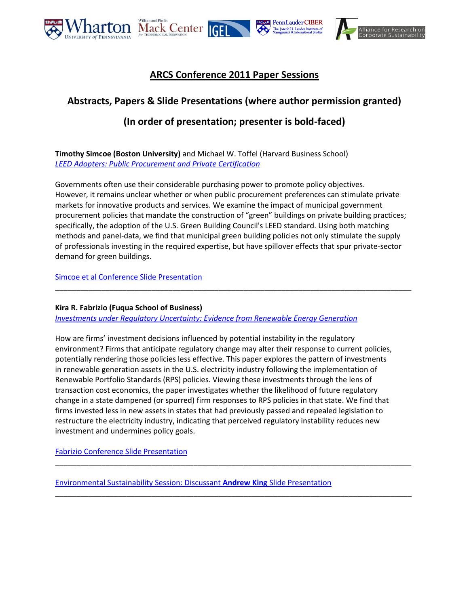

# **ARCS Conference 2011 Paper Sessions**

# **Abstracts, Papers & Slide Presentations (where author permission granted)**

# **(In order of presentation; presenter is bold-faced)**

**Timothy Simcoe (Boston University)** and Michael W. Toffel (Harvard Business School) *[LEED Adopters: Public Procurement and Private Certification](http://www-management.wharton.upenn.edu/henisz/msbe/2011/4_1_Simcoe_Toffel.pdf)*

Governments often use their considerable purchasing power to promote policy objectives. However, it remains unclear whether or when public procurement preferences can stimulate private markets for innovative products and services. We examine the impact of municipal government procurement policies that mandate the construction of "green" buildings on private building practices; specifically, the adoption of the U.S. Green Building Council's LEED standard. Using both matching methods and panel-data, we find that municipal green building policies not only stimulate the supply of professionals investing in the required expertise, but have spillover effects that spur private-sector demand for green buildings.

**\_\_\_\_\_\_\_\_\_\_\_\_\_\_\_\_\_\_\_\_\_\_\_\_\_\_\_\_\_\_\_\_\_\_\_\_\_\_\_\_\_\_\_\_\_\_\_\_\_\_\_\_\_\_\_\_\_\_\_\_\_\_\_\_\_\_\_\_\_\_\_\_\_\_\_\_\_\_\_\_\_\_\_\_\_**

[Simcoe et al Conference Slide Presentation](http://www.corporate-sustainability.org/news/conferences/third-annual-research-conference/Simcoe%20et%20al-Slides.pdf)

## **Kira R. Fabrizio (Fuqua School of Business)**

*[Investments under Regulatory Uncertainty: Evidence from Renewable Energy Generation](http://www-management.wharton.upenn.edu/henisz/msbe/2011/4_2_Fabrizio.pdf)*

How are firms' investment decisions influenced by potential instability in the regulatory environment? Firms that anticipate regulatory change may alter their response to current policies, potentially rendering those policies less effective. This paper explores the pattern of investments in renewable generation assets in the U.S. electricity industry following the implementation of Renewable Portfolio Standards (RPS) policies. Viewing these investments through the lens of transaction cost economics, the paper investigates whether the likelihood of future regulatory change in a state dampened (or spurred) firm responses to RPS policies in that state. We find that firms invested less in new assets in states that had previously passed and repealed legislation to restructure the electricity industry, indicating that perceived regulatory instability reduces new investment and undermines policy goals.

\_\_\_\_\_\_\_\_\_\_\_\_\_\_\_\_\_\_\_\_\_\_\_\_\_\_\_\_\_\_\_\_\_\_\_\_\_\_\_\_\_\_\_\_\_\_\_\_\_\_\_\_\_\_\_\_\_\_\_\_\_\_\_\_\_\_\_\_\_\_\_\_\_\_\_\_\_\_\_\_\_\_\_\_\_

\_\_\_\_\_\_\_\_\_\_\_\_\_\_\_\_\_\_\_\_\_\_\_\_\_\_\_\_\_\_\_\_\_\_\_\_\_\_\_\_\_\_\_\_\_\_\_\_\_\_\_\_\_\_\_\_\_\_\_\_\_\_\_\_\_\_\_\_\_\_\_\_\_\_\_\_\_\_\_\_\_\_\_\_\_

[Fabrizio Conference Slide Presentation](http://www.corporate-sustainability.org/news/conferences/third-annual-research-conference/Fabrizio-Slides.pdf)

[Environmental Sustainability Session: Discussant](http://www.corporate-sustainability.org/news/conferences/third-annual-research-conference/King-Discussant-Slides.pdf) **Andrew King** Slide Presentation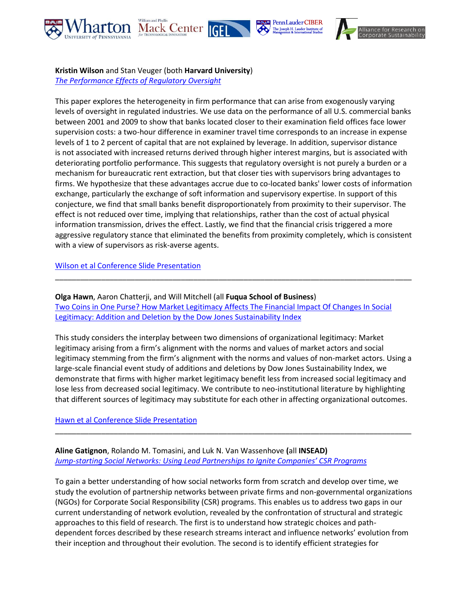





### **Kristin Wilson** and Stan Veuger (both **Harvard University**)

*[The Performance Effects of Regulatory Oversight](http://www-management.wharton.upenn.edu/henisz/msbe/2011/5_1_Wilson_Veuger.pdf)*

This paper explores the heterogeneity in firm performance that can arise from exogenously varying levels of oversight in regulated industries. We use data on the performance of all U.S. commercial banks between 2001 and 2009 to show that banks located closer to their examination field offices face lower supervision costs: a two-hour difference in examiner travel time corresponds to an increase in expense levels of 1 to 2 percent of capital that are not explained by leverage. In addition, supervisor distance is not associated with increased returns derived through higher interest margins, but is associated with deteriorating portfolio performance. This suggests that regulatory oversight is not purely a burden or a mechanism for bureaucratic rent extraction, but that closer ties with supervisors bring advantages to firms. We hypothesize that these advantages accrue due to co-located banks' lower costs of information exchange, particularly the exchange of soft information and supervisory expertise. In support of this conjecture, we find that small banks benefit disproportionately from proximity to their supervisor. The effect is not reduced over time, implying that relationships, rather than the cost of actual physical information transmission, drives the effect. Lastly, we find that the financial crisis triggered a more aggressive regulatory stance that eliminated the benefits from proximity completely, which is consistent with a view of supervisors as risk-averse agents.

[Wilson et al Conference Slide Presentation](http://www.corporate-sustainability.org/news/conferences/third-annual-research-conference/Wilson%20et%20al-Slides.pdf)

**Olga Hawn**, Aaron Chatterji, and Will Mitchell (all **Fuqua School of Business**) [Two Coins in One Purse? How Market Legitimacy Affects The Financial Impact Of Changes In Social](http://www-management.wharton.upenn.edu/henisz/msbe/2011/5_2_Hawn_Chatterji_Mitchell.pdf)  [Legitimacy: Addition and Deletion by the Dow Jones Sustainability Index](http://www-management.wharton.upenn.edu/henisz/msbe/2011/5_2_Hawn_Chatterji_Mitchell.pdf)

\_\_\_\_\_\_\_\_\_\_\_\_\_\_\_\_\_\_\_\_\_\_\_\_\_\_\_\_\_\_\_\_\_\_\_\_\_\_\_\_\_\_\_\_\_\_\_\_\_\_\_\_\_\_\_\_\_\_\_\_\_\_\_\_\_\_\_\_\_\_\_\_\_\_\_\_\_\_\_\_\_\_\_\_\_

This study considers the interplay between two dimensions of organizational legitimacy: Market legitimacy arising from a firm's alignment with the norms and values of market actors and social legitimacy stemming from the firm's alignment with the norms and values of non-market actors. Using a large-scale financial event study of additions and deletions by Dow Jones Sustainability Index, we demonstrate that firms with higher market legitimacy benefit less from increased social legitimacy and lose less from decreased social legitimacy. We contribute to neo-institutional literature by highlighting that different sources of legitimacy may substitute for each other in affecting organizational outcomes.

\_\_\_\_\_\_\_\_\_\_\_\_\_\_\_\_\_\_\_\_\_\_\_\_\_\_\_\_\_\_\_\_\_\_\_\_\_\_\_\_\_\_\_\_\_\_\_\_\_\_\_\_\_\_\_\_\_\_\_\_\_\_\_\_\_\_\_\_\_\_\_\_\_\_\_\_\_\_\_\_\_\_\_\_\_

## [Hawn et al Conference Slide Presentation](http://www.corporate-sustainability.org/news/conferences/third-annual-research-conference/Hawn%20et%20al-Slides.pdf)

## **Aline Gatignon**, Rolando M. Tomasini, and Luk N. Van Wassenhove **(**all **INSEAD)** *Jump-[starting Social Networks: Using Lead Partnerships to Ignite Companies' CSR Programs](http://www-management.wharton.upenn.edu/henisz/msbe/2011/5_3_Gatignon_Tomasini_Van_Wassenhove.pdf)*

To gain a better understanding of how social networks form from scratch and develop over time, we study the evolution of partnership networks between private firms and non-governmental organizations (NGOs) for Corporate Social Responsibility (CSR) programs. This enables us to address two gaps in our current understanding of network evolution, revealed by the confrontation of structural and strategic approaches to this field of research. The first is to understand how strategic choices and pathdependent forces described by these research streams interact and influence networks' evolution from their inception and throughout their evolution. The second is to identify efficient strategies for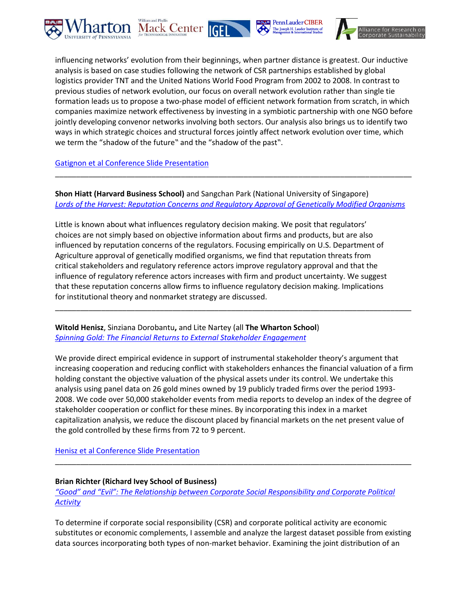





influencing networks' evolution from their beginnings, when partner distance is greatest. Our inductive analysis is based on case studies following the network of CSR partnerships established by global logistics provider TNT and the United Nations World Food Program from 2002 to 2008. In contrast to previous studies of network evolution, our focus on overall network evolution rather than single tie formation leads us to propose a two-phase model of efficient network formation from scratch, in which companies maximize network effectiveness by investing in a symbiotic partnership with one NGO before jointly developing convenor networks involving both sectors. Our analysis also brings us to identify two ways in which strategic choices and structural forces jointly affect network evolution over time, which we term the "shadow of the future" and the "shadow of the past".

### [Gatignon et al Conference Slide Presentation](http://www.corporate-sustainability.org/news/conferences/third-annual-research-conference/Gatignon%20et%20al-Slides.pdf)

**Shon Hiatt (Harvard Business School)** and Sangchan Park (National University of Singapore) *[Lords of the Harvest: Reputation Concerns and Regulatory Approval of Genetically Modified Organisms](http://www-management.wharton.upenn.edu/henisz/msbe/2011/6_1_Hiatt_Park.pdf)*

\_\_\_\_\_\_\_\_\_\_\_\_\_\_\_\_\_\_\_\_\_\_\_\_\_\_\_\_\_\_\_\_\_\_\_\_\_\_\_\_\_\_\_\_\_\_\_\_\_\_\_\_\_\_\_\_\_\_\_\_\_\_\_\_\_\_\_\_\_\_\_\_\_\_\_\_\_\_\_\_\_\_\_\_\_

Little is known about what influences regulatory decision making. We posit that regulators' choices are not simply based on objective information about firms and products, but are also influenced by reputation concerns of the regulators. Focusing empirically on U.S. Department of Agriculture approval of genetically modified organisms, we find that reputation threats from critical stakeholders and regulatory reference actors improve regulatory approval and that the influence of regulatory reference actors increases with firm and product uncertainty. We suggest that these reputation concerns allow firms to influence regulatory decision making. Implications for institutional theory and nonmarket strategy are discussed.

**Witold Henisz**, Sinziana Dorobantu**,** and Lite Nartey (all **The Wharton School**) *[Spinning Gold: The Financial Returns to External Stakeholder Engagement](http://www-management.wharton.upenn.edu/henisz/msbe/2011/6_2_Henisz_Dorobantu_Nartey.pdf)*

We provide direct empirical evidence in support of instrumental stakeholder theory's argument that increasing cooperation and reducing conflict with stakeholders enhances the financial valuation of a firm holding constant the objective valuation of the physical assets under its control. We undertake this analysis using panel data on 26 gold mines owned by 19 publicly traded firms over the period 1993- 2008. We code over 50,000 stakeholder events from media reports to develop an index of the degree of stakeholder cooperation or conflict for these mines. By incorporating this index in a market capitalization analysis, we reduce the discount placed by financial markets on the net present value of the gold controlled by these firms from 72 to 9 percent.

\_\_\_\_\_\_\_\_\_\_\_\_\_\_\_\_\_\_\_\_\_\_\_\_\_\_\_\_\_\_\_\_\_\_\_\_\_\_\_\_\_\_\_\_\_\_\_\_\_\_\_\_\_\_\_\_\_\_\_\_\_\_\_\_\_\_\_\_\_\_\_\_\_\_\_\_\_\_\_\_\_\_\_\_\_

#### [Henisz et al Conference Slide Presentation](http://www.corporate-sustainability.org/news/conferences/third-annual-research-conference/Henisz%20et%20al-Slides.pdf)

#### **Brian Richter (Richard Ivey School of Business)**

*["Good" and "Evil": The Relationship between Corporate Social Responsibility and Corporate Political](http://www-management.wharton.upenn.edu/henisz/msbe/2011/6_3_Richter.pdf)  [Activity](http://www-management.wharton.upenn.edu/henisz/msbe/2011/6_3_Richter.pdf)*

\_\_\_\_\_\_\_\_\_\_\_\_\_\_\_\_\_\_\_\_\_\_\_\_\_\_\_\_\_\_\_\_\_\_\_\_\_\_\_\_\_\_\_\_\_\_\_\_\_\_\_\_\_\_\_\_\_\_\_\_\_\_\_\_\_\_\_\_\_\_\_\_\_\_\_\_\_\_\_\_\_\_\_\_\_

To determine if corporate social responsibility (CSR) and corporate political activity are economic substitutes or economic complements, I assemble and analyze the largest dataset possible from existing data sources incorporating both types of non-market behavior. Examining the joint distribution of an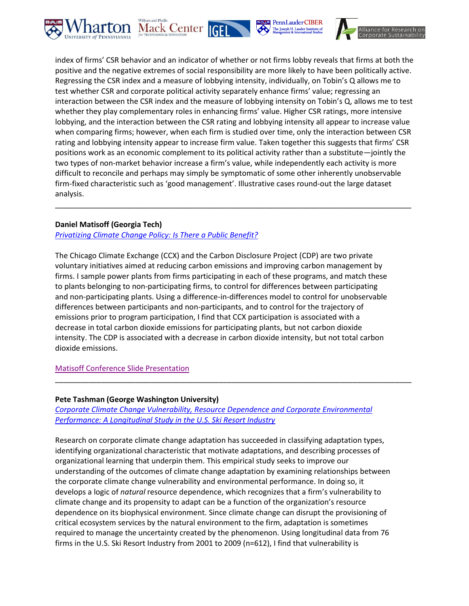





index of firms' CSR behavior and an indicator of whether or not firms lobby reveals that firms at both the positive and the negative extremes of social responsibility are more likely to have been politically active. Regressing the CSR index and a measure of lobbying intensity, individually, on Tobin's Q allows me to test whether CSR and corporate political activity separately enhance firms' value; regressing an interaction between the CSR index and the measure of lobbying intensity on Tobin's Q, allows me to test whether they play complementary roles in enhancing firms' value. Higher CSR ratings, more intensive lobbying, and the interaction between the CSR rating and lobbying intensity all appear to increase value when comparing firms; however, when each firm is studied over time, only the interaction between CSR rating and lobbying intensity appear to increase firm value. Taken together this suggests that firms' CSR positions work as an economic complement to its political activity rather than a substitute—jointly the two types of non-market behavior increase a firm's value, while independently each activity is more difficult to reconcile and perhaps may simply be symptomatic of some other inherently unobservable firm-fixed characteristic such as 'good management'. Illustrative cases round-out the large dataset analysis.

\_\_\_\_\_\_\_\_\_\_\_\_\_\_\_\_\_\_\_\_\_\_\_\_\_\_\_\_\_\_\_\_\_\_\_\_\_\_\_\_\_\_\_\_\_\_\_\_\_\_\_\_\_\_\_\_\_\_\_\_\_\_\_\_\_\_\_\_\_\_\_\_\_\_\_\_\_\_\_\_\_\_\_\_\_

## **Daniel Matisoff (Georgia Tech)**

## *[Privatizing Climate Change Policy: Is There a Public Benefit?](http://www.corporate-sustainability.org/conferences/third-annual-research-conference/Matisoff.pdf)*

The Chicago Climate Exchange (CCX) and the Carbon Disclosure Project (CDP) are two private voluntary initiatives aimed at reducing carbon emissions and improving carbon management by firms. I sample power plants from firms participating in each of these programs, and match these to plants belonging to non-participating firms, to control for differences between participating and non-participating plants. Using a difference-in-differences model to control for unobservable differences between participants and non-participants, and to control for the trajectory of emissions prior to program participation, I find that CCX participation is associated with a decrease in total carbon dioxide emissions for participating plants, but not carbon dioxide intensity. The CDP is associated with a decrease in carbon dioxide intensity, but not total carbon dioxide emissions.

## [Matisoff Conference Slide Presentation](http://www.corporate-sustainability.org/news/conferences/third-annual-research-conference/Matisoff-Slides.pdf)

### **Pete Tashman (George Washington University)**

*[Corporate Climate Change Vulnerability, Resource Dependence and Corporate Environmental](http://www.corporate-sustainability.org/conferences/third-annual-research-conference/Tashman.pdf)  [Performance: A Longitudinal Study in the U.S. Ski Resort Industry](http://www.corporate-sustainability.org/conferences/third-annual-research-conference/Tashman.pdf)*

\_\_\_\_\_\_\_\_\_\_\_\_\_\_\_\_\_\_\_\_\_\_\_\_\_\_\_\_\_\_\_\_\_\_\_\_\_\_\_\_\_\_\_\_\_\_\_\_\_\_\_\_\_\_\_\_\_\_\_\_\_\_\_\_\_\_\_\_\_\_\_\_\_\_\_\_\_\_\_\_\_\_\_\_\_

Research on corporate climate change adaptation has succeeded in classifying adaptation types, identifying organizational characteristic that motivate adaptations, and describing processes of organizational learning that underpin them. This empirical study seeks to improve our understanding of the outcomes of climate change adaptation by examining relationships between the corporate climate change vulnerability and environmental performance. In doing so, it develops a logic of *natural* resource dependence, which recognizes that a firm's vulnerability to climate change and its propensity to adapt can be a function of the organization's resource dependence on its biophysical environment. Since climate change can disrupt the provisioning of critical ecosystem services by the natural environment to the firm, adaptation is sometimes required to manage the uncertainty created by the phenomenon. Using longitudinal data from 76 firms in the U.S. Ski Resort Industry from 2001 to 2009 (n=612), I find that vulnerability is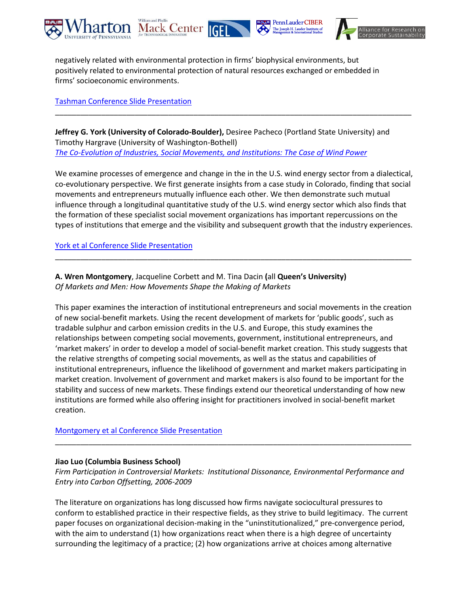





negatively related with environmental protection in firms' biophysical environments, but positively related to environmental protection of natural resources exchanged or embedded in firms' socioeconomic environments.

[Tashman Conference Slide Presentation](http://www.corporate-sustainability.org/news/conferences/third-annual-research-conference/Tashman-Slides.pdf)

**Jeffrey G. York (University of Colorado-Boulder),** Desiree Pacheco (Portland State University) and Timothy Hargrave (University of Washington-Bothell) *[The Co-Evolution of Industries, Social Movements, and Institutions: The Case of Wind Power](http://www.corporate-sustainability.org/conferences/third-annual-research-conference/Pacheco-York-Hargrave.pdf)*

\_\_\_\_\_\_\_\_\_\_\_\_\_\_\_\_\_\_\_\_\_\_\_\_\_\_\_\_\_\_\_\_\_\_\_\_\_\_\_\_\_\_\_\_\_\_\_\_\_\_\_\_\_\_\_\_\_\_\_\_\_\_\_\_\_\_\_\_\_\_\_\_\_\_\_\_\_\_\_\_\_\_\_\_\_

We examine processes of emergence and change in the in the U.S. wind energy sector from a dialectical, co-evolutionary perspective. We first generate insights from a case study in Colorado, finding that social movements and entrepreneurs mutually influence each other. We then demonstrate such mutual influence through a longitudinal quantitative study of the U.S. wind energy sector which also finds that the formation of these specialist social movement organizations has important repercussions on the types of institutions that emerge and the visibility and subsequent growth that the industry experiences.

\_\_\_\_\_\_\_\_\_\_\_\_\_\_\_\_\_\_\_\_\_\_\_\_\_\_\_\_\_\_\_\_\_\_\_\_\_\_\_\_\_\_\_\_\_\_\_\_\_\_\_\_\_\_\_\_\_\_\_\_\_\_\_\_\_\_\_\_\_\_\_\_\_\_\_\_\_\_\_\_\_\_\_\_\_

[York et al Conference Slide Presentation](http://www.corporate-sustainability.org/news/conferences/third-annual-research-conference/York%20et%20al-Slides.pdf)

**A. Wren Montgomery**, Jacqueline Corbett and M. Tina Dacin **(**all **Queen's University)** *Of Markets and Men: How Movements Shape the Making of Markets*

This paper examines the interaction of institutional entrepreneurs and social movements in the creation of new social-benefit markets. Using the recent development of markets for 'public goods', such as tradable sulphur and carbon emission credits in the U.S. and Europe, this study examines the relationships between competing social movements, government, institutional entrepreneurs, and 'market makers' in order to develop a model of social-benefit market creation. This study suggests that the relative strengths of competing social movements, as well as the status and capabilities of institutional entrepreneurs, influence the likelihood of government and market makers participating in market creation. Involvement of government and market makers is also found to be important for the stability and success of new markets. These findings extend our theoretical understanding of how new institutions are formed while also offering insight for practitioners involved in social-benefit market creation.

[Montgomery et al Conference Slide Presentation](http://www.corporate-sustainability.org/news/conferences/third-annual-research-conference/Montgomery%20et%20al-Slides.pdf)

## **Jiao Luo (Columbia Business School)**

*Firm Participation in Controversial Markets: Institutional Dissonance, Environmental Performance and Entry into Carbon Offsetting, 2006-2009*

\_\_\_\_\_\_\_\_\_\_\_\_\_\_\_\_\_\_\_\_\_\_\_\_\_\_\_\_\_\_\_\_\_\_\_\_\_\_\_\_\_\_\_\_\_\_\_\_\_\_\_\_\_\_\_\_\_\_\_\_\_\_\_\_\_\_\_\_\_\_\_\_\_\_\_\_\_\_\_\_\_\_\_\_\_

The literature on organizations has long discussed how firms navigate sociocultural pressures to conform to established practice in their respective fields, as they strive to build legitimacy. The current paper focuses on organizational decision-making in the "uninstitutionalized," pre-convergence period, with the aim to understand (1) how organizations react when there is a high degree of uncertainty surrounding the legitimacy of a practice; (2) how organizations arrive at choices among alternative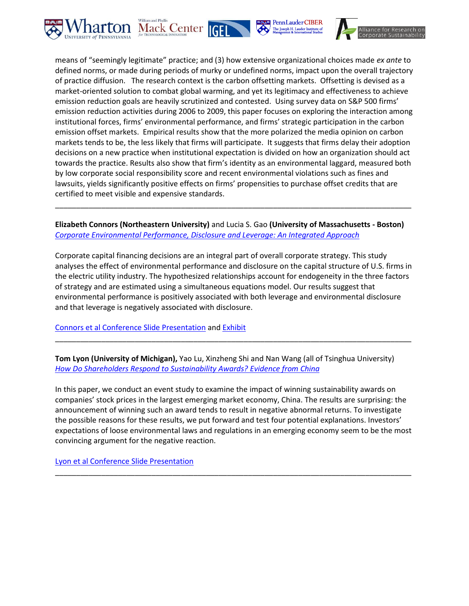





means of "seemingly legitimate" practice; and (3) how extensive organizational choices made *ex ante* to defined norms, or made during periods of murky or undefined norms, impact upon the overall trajectory of practice diffusion. The research context is the carbon offsetting markets. Offsetting is devised as a market-oriented solution to combat global warming, and yet its legitimacy and effectiveness to achieve emission reduction goals are heavily scrutinized and contested. Using survey data on S&P 500 firms' emission reduction activities during 2006 to 2009, this paper focuses on exploring the interaction among institutional forces, firms' environmental performance, and firms' strategic participation in the carbon emission offset markets. Empirical results show that the more polarized the media opinion on carbon markets tends to be, the less likely that firms will participate. It suggests that firms delay their adoption decisions on a new practice when institutional expectation is divided on how an organization should act towards the practice. Results also show that firm's identity as an environmental laggard, measured both by low corporate social responsibility score and recent environmental violations such as fines and lawsuits, yields significantly positive effects on firms' propensities to purchase offset credits that are certified to meet visible and expensive standards.

## **Elizabeth Connors (Northeastern University)** and Lucia S. Gao **(University of Massachusetts - Boston)** *[Corporate Environmental Performance, Disclosure and Leverage: An Integrated Approach](http://www.corporate-sustainability.org/conferences/third-annual-research-conference/Connors-Gao.pdf)*

\_\_\_\_\_\_\_\_\_\_\_\_\_\_\_\_\_\_\_\_\_\_\_\_\_\_\_\_\_\_\_\_\_\_\_\_\_\_\_\_\_\_\_\_\_\_\_\_\_\_\_\_\_\_\_\_\_\_\_\_\_\_\_\_\_\_\_\_\_\_\_\_\_\_\_\_\_\_\_\_\_\_\_\_\_

Corporate capital financing decisions are an integral part of overall corporate strategy. This study analyses the effect of environmental performance and disclosure on the capital structure of U.S. firms in the electric utility industry. The hypothesized relationships account for endogeneity in the three factors of strategy and are estimated using a simultaneous equations model. Our results suggest that environmental performance is positively associated with both leverage and environmental disclosure and that leverage is negatively associated with disclosure.

\_\_\_\_\_\_\_\_\_\_\_\_\_\_\_\_\_\_\_\_\_\_\_\_\_\_\_\_\_\_\_\_\_\_\_\_\_\_\_\_\_\_\_\_\_\_\_\_\_\_\_\_\_\_\_\_\_\_\_\_\_\_\_\_\_\_\_\_\_\_\_\_\_\_\_\_\_\_\_\_\_\_\_\_\_

[Connors et al Conference Slide Presentation](http://www.corporate-sustainability.org/news/conferences/third-annual-research-conference/Connors%20et%20al-Slides.pdf) an[d Exhibit](http://www.corporate-sustainability.org/news/conferences/third-annual-research-conference/Connors%20et%20al-Slides2.pdf)

**Tom Lyon (University of Michigan),** Yao Lu, Xinzheng Shi and Nan Wang (all of Tsinghua University) *[How Do Shareholders Respond to Sustainability Awards? Evidence from China](http://www.corporate-sustainability.org/conferences/third-annual-research-conference/Lyon-Lu-Shi-Wang.pdf)*

In this paper, we conduct an event study to examine the impact of winning sustainability awards on companies' stock prices in the largest emerging market economy, China. The results are surprising: the announcement of winning such an award tends to result in negative abnormal returns. To investigate the possible reasons for these results, we put forward and test four potential explanations. Investors' expectations of loose environmental laws and regulations in an emerging economy seem to be the most convincing argument for the negative reaction.

\_\_\_\_\_\_\_\_\_\_\_\_\_\_\_\_\_\_\_\_\_\_\_\_\_\_\_\_\_\_\_\_\_\_\_\_\_\_\_\_\_\_\_\_\_\_\_\_\_\_\_\_\_\_\_\_\_\_\_\_\_\_\_\_\_\_\_\_\_\_\_\_\_\_\_\_\_\_\_\_\_\_\_\_\_

[Lyon et al Conference Slide Presentation](http://www.corporate-sustainability.org/news/conferences/third-annual-research-conference/Lyon%20et%20al-Slides.pdf)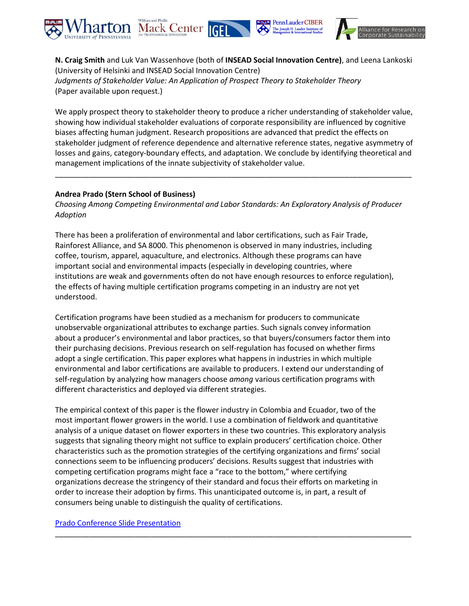

**N. Craig Smith** and Luk Van Wassenhove (both of **INSEAD Social Innovation Centre)**, and Leena Lankoski (University of Helsinki and INSEAD Social Innovation Centre) *Judgments of Stakeholder Value: An Application of Prospect Theory to Stakeholder Theory* (Paper available upon request.)

We apply prospect theory to stakeholder theory to produce a richer understanding of stakeholder value, showing how individual stakeholder evaluations of corporate responsibility are influenced by cognitive biases affecting human judgment. Research propositions are advanced that predict the effects on stakeholder judgment of reference dependence and alternative reference states, negative asymmetry of losses and gains, category-boundary effects, and adaptation. We conclude by identifying theoretical and management implications of the innate subjectivity of stakeholder value.

\_\_\_\_\_\_\_\_\_\_\_\_\_\_\_\_\_\_\_\_\_\_\_\_\_\_\_\_\_\_\_\_\_\_\_\_\_\_\_\_\_\_\_\_\_\_\_\_\_\_\_\_\_\_\_\_\_\_\_\_\_\_\_\_\_\_\_\_\_\_\_\_\_\_\_\_\_\_\_\_\_\_\_\_\_

### **Andrea Prado (Stern School of Business)**

*Choosing Among Competing Environmental and Labor Standards: An Exploratory Analysis of Producer Adoption*

There has been a proliferation of environmental and labor certifications, such as Fair Trade, Rainforest Alliance, and SA 8000. This phenomenon is observed in many industries, including coffee, tourism, apparel, aquaculture, and electronics. Although these programs can have important social and environmental impacts (especially in developing countries, where institutions are weak and governments often do not have enough resources to enforce regulation), the effects of having multiple certification programs competing in an industry are not yet understood.

Certification programs have been studied as a mechanism for producers to communicate unobservable organizational attributes to exchange parties. Such signals convey information about a producer's environmental and labor practices, so that buyers/consumers factor them into their purchasing decisions. Previous research on self-regulation has focused on whether firms adopt a single certification. This paper explores what happens in industries in which multiple environmental and labor certifications are available to producers. I extend our understanding of self-regulation by analyzing how managers choose *among* various certification programs with different characteristics and deployed via different strategies.

The empirical context of this paper is the flower industry in Colombia and Ecuador, two of the most important flower growers in the world. I use a combination of fieldwork and quantitative analysis of a unique dataset on flower exporters in these two countries. This exploratory analysis suggests that signaling theory might not suffice to explain producers' certification choice. Other characteristics such as the promotion strategies of the certifying organizations and firms' social connections seem to be influencing producers' decisions. Results suggest that industries with competing certification programs might face a "race to the bottom," where certifying organizations decrease the stringency of their standard and focus their efforts on marketing in order to increase their adoption by firms. This unanticipated outcome is, in part, a result of consumers being unable to distinguish the quality of certifications.

\_\_\_\_\_\_\_\_\_\_\_\_\_\_\_\_\_\_\_\_\_\_\_\_\_\_\_\_\_\_\_\_\_\_\_\_\_\_\_\_\_\_\_\_\_\_\_\_\_\_\_\_\_\_\_\_\_\_\_\_\_\_\_\_\_\_\_\_\_\_\_\_\_\_\_\_\_\_\_\_\_\_\_\_\_

#### [Prado Conference Slide Presentation](http://www.corporate-sustainability.org/news/conferences/third-annual-research-conference/Prado-Slides.pdf)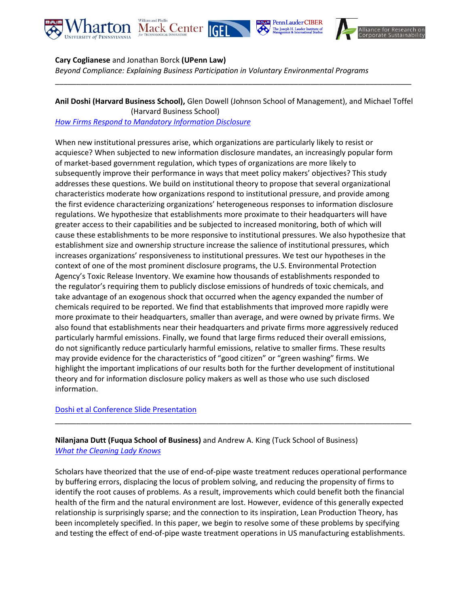





### **Cary Coglianese** and Jonathan Borck **(UPenn Law)**

*Beyond Compliance: Explaining Business Participation in Voluntary Environmental Programs*

**Anil Doshi (Harvard Business School),** Glen Dowell (Johnson School of Management), and Michael Toffel (Harvard Business School) *[How Firms Respond to Mandatory Information Disclosure](http://www.corporate-sustainability.org/conferences/third-annual-research-conference/Doshi-Dowell-Toffel.pdf)*

\_\_\_\_\_\_\_\_\_\_\_\_\_\_\_\_\_\_\_\_\_\_\_\_\_\_\_\_\_\_\_\_\_\_\_\_\_\_\_\_\_\_\_\_\_\_\_\_\_\_\_\_\_\_\_\_\_\_\_\_\_\_\_\_\_\_\_\_\_\_\_\_\_\_\_\_\_\_\_\_\_\_\_\_\_

When new institutional pressures arise, which organizations are particularly likely to resist or acquiesce? When subjected to new information disclosure mandates, an increasingly popular form of market-based government regulation, which types of organizations are more likely to subsequently improve their performance in ways that meet policy makers' objectives? This study addresses these questions. We build on institutional theory to propose that several organizational characteristics moderate how organizations respond to institutional pressure, and provide among the first evidence characterizing organizations' heterogeneous responses to information disclosure regulations. We hypothesize that establishments more proximate to their headquarters will have greater access to their capabilities and be subjected to increased monitoring, both of which will cause these establishments to be more responsive to institutional pressures. We also hypothesize that establishment size and ownership structure increase the salience of institutional pressures, which increases organizations' responsiveness to institutional pressures. We test our hypotheses in the context of one of the most prominent disclosure programs, the U.S. Environmental Protection Agency's Toxic Release Inventory. We examine how thousands of establishments responded to the regulator's requiring them to publicly disclose emissions of hundreds of toxic chemicals, and take advantage of an exogenous shock that occurred when the agency expanded the number of chemicals required to be reported. We find that establishments that improved more rapidly were more proximate to their headquarters, smaller than average, and were owned by private firms. We also found that establishments near their headquarters and private firms more aggressively reduced particularly harmful emissions. Finally, we found that large firms reduced their overall emissions, do not significantly reduce particularly harmful emissions, relative to smaller firms. These results may provide evidence for the characteristics of "good citizen" or "green washing" firms. We highlight the important implications of our results both for the further development of institutional theory and for information disclosure policy makers as well as those who use such disclosed information.

### [Doshi et al Conference Slide Presentation](http://www.corporate-sustainability.org/news/conferences/third-annual-research-conference/Doshi%20et%20al-Slides.pdf)

## **Nilanjana Dutt (Fuqua School of Business)** and Andrew A. King (Tuck School of Business) *[What the Cleaning Lady Knows](http://www.corporate-sustainability.org/conferences/third-annual-research-conference/Dutt-King.pdf)*

Scholars have theorized that the use of end-of-pipe waste treatment reduces operational performance by buffering errors, displacing the locus of problem solving, and reducing the propensity of firms to identify the root causes of problems. As a result, improvements which could benefit both the financial health of the firm and the natural environment are lost. However, evidence of this generally expected relationship is surprisingly sparse; and the connection to its inspiration, Lean Production Theory, has been incompletely specified. In this paper, we begin to resolve some of these problems by specifying and testing the effect of end-of-pipe waste treatment operations in US manufacturing establishments.

\_\_\_\_\_\_\_\_\_\_\_\_\_\_\_\_\_\_\_\_\_\_\_\_\_\_\_\_\_\_\_\_\_\_\_\_\_\_\_\_\_\_\_\_\_\_\_\_\_\_\_\_\_\_\_\_\_\_\_\_\_\_\_\_\_\_\_\_\_\_\_\_\_\_\_\_\_\_\_\_\_\_\_\_\_